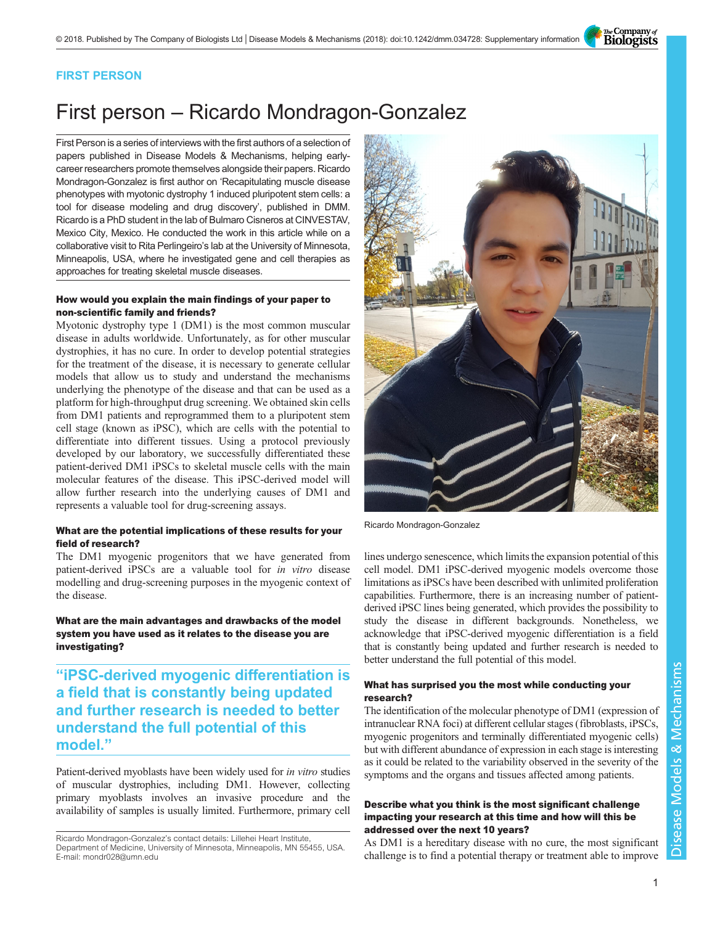The Company of<br>**Biologists** 

### FIRST PERSON

# First person – Ricardo Mondragon-Gonzalez

First Person is a series of interviews with the first authors of a selection of papers published in Disease Models & Mechanisms, helping earlycareer researchers promote themselves alongside their papers. Ricardo Mondragon-Gonzalez is first author on '[Recapitulating muscle disease](#page-1-0) [phenotypes with myotonic dystrophy 1 induced pluripotent stem cells: a](#page-1-0) [tool for disease modeling and drug discovery](#page-1-0)', published in DMM. Ricardo is a PhD student in the lab of Bulmaro Cisneros at CINVESTAV, Mexico City, Mexico. He conducted the work in this article while on a collaborative visit to Rita Perlingeiro's lab at the University of Minnesota, Minneapolis, USA, where he investigated gene and cell therapies as approaches for treating skeletal muscle diseases.

#### How would you explain the main findings of your paper to non-scientific family and friends?

Myotonic dystrophy type 1 (DM1) is the most common muscular disease in adults worldwide. Unfortunately, as for other muscular dystrophies, it has no cure. In order to develop potential strategies for the treatment of the disease, it is necessary to generate cellular models that allow us to study and understand the mechanisms underlying the phenotype of the disease and that can be used as a platform for high-throughput drug screening. We obtained skin cells from DM1 patients and reprogrammed them to a pluripotent stem cell stage (known as iPSC), which are cells with the potential to differentiate into different tissues. Using a protocol previously developed by our laboratory, we successfully differentiated these patient-derived DM1 iPSCs to skeletal muscle cells with the main molecular features of the disease. This iPSC-derived model will allow further research into the underlying causes of DM1 and represents a valuable tool for drug-screening assays.

#### What are the potential implications of these results for your field of research?

The DM1 myogenic progenitors that we have generated from patient-derived iPSCs are a valuable tool for in vitro disease modelling and drug-screening purposes in the myogenic context of the disease.

What are the main advantages and drawbacks of the model system you have used as it relates to the disease you are investigating?

"iPSC-derived myogenic differentiation is a field that is constantly being updated and further research is needed to better understand the full potential of this model."

Patient-derived myoblasts have been widely used for in vitro studies of muscular dystrophies, including DM1. However, collecting primary myoblasts involves an invasive procedure and the availability of samples is usually limited. Furthermore, primary cell



Ricardo Mondragon-Gonzalez

lines undergo senescence, which limits the expansion potential of this cell model. DM1 iPSC-derived myogenic models overcome those limitations as iPSCs have been described with unlimited proliferation capabilities. Furthermore, there is an increasing number of patientderived iPSC lines being generated, which provides the possibility to study the disease in different backgrounds. Nonetheless, we acknowledge that iPSC-derived myogenic differentiation is a field that is constantly being updated and further research is needed to better understand the full potential of this model.

#### What has surprised you the most while conducting your research?

The identification of the molecular phenotype of DM1 (expression of intranuclear RNA foci) at different cellular stages (fibroblasts, iPSCs, myogenic progenitors and terminally differentiated myogenic cells) but with different abundance of expression in each stage is interesting as it could be related to the variability observed in the severity of the symptoms and the organs and tissues affected among patients.

#### Describe what you think is the most significant challenge impacting your research at this time and how will this be addressed over the next 10 years?

As DM1 is a hereditary disease with no cure, the most significant challenge is to find a potential therapy or treatment able to improve

Ricardo Mondragon-Gonzalez's contact details: Lillehei Heart Institute, Department of Medicine, University of Minnesota, Minneapolis, MN 55455, USA. E-mail: [mondr028@umn.edu](mailto:mondr028@umn.edu)